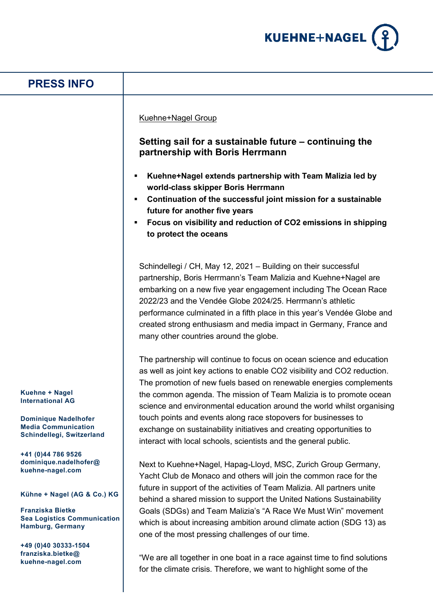

| <b>PRESS INFO</b>                                                                        |                                                                                                                                                                                                                                                                                                                                                                                                                                                              |
|------------------------------------------------------------------------------------------|--------------------------------------------------------------------------------------------------------------------------------------------------------------------------------------------------------------------------------------------------------------------------------------------------------------------------------------------------------------------------------------------------------------------------------------------------------------|
|                                                                                          | <b>Kuehne+Nagel Group</b><br>Setting sail for a sustainable future - continuing the<br>partnership with Boris Herrmann<br>Kuehne+Nagel extends partnership with Team Malizia led by<br>п<br>world-class skipper Boris Herrmann<br>Continuation of the successful joint mission for a sustainable<br>٠<br>future for another five years<br>Focus on visibility and reduction of CO2 emissions in shipping<br>to protect the oceans                            |
|                                                                                          | Schindellegi / CH, May 12, 2021 - Building on their successful<br>partnership, Boris Herrmann's Team Malizia and Kuehne+Nagel are<br>embarking on a new five year engagement including The Ocean Race<br>2022/23 and the Vendée Globe 2024/25. Herrmann's athletic<br>performance culminated in a fifth place in this year's Vendée Globe and<br>created strong enthusiasm and media impact in Germany, France and<br>many other countries around the globe. |
|                                                                                          | The partnership will continue to focus on ocean science and education<br>as well as joint key actions to enable CO2 visibility and CO2 reduction.<br>The promotion of new fuels based on renewable energies complements                                                                                                                                                                                                                                      |
| Kuehne + Nagel<br><b>International AG</b>                                                | the common agenda. The mission of Team Malizia is to promote ocean<br>science and environmental education around the world whilst organising                                                                                                                                                                                                                                                                                                                 |
| <b>Dominique Nadelhofer</b><br><b>Media Communication</b><br>Schindellegi, Switzerland   | touch points and events along race stopovers for businesses to<br>exchange on sustainability initiatives and creating opportunities to<br>interact with local schools, scientists and the general public.                                                                                                                                                                                                                                                    |
| +41 (0)44 786 9526<br>dominique.nadelhofer@<br>kuehne-nagel.com                          | Next to Kuehne+Nagel, Hapag-Lloyd, MSC, Zurich Group Germany,<br>Yacht Club de Monaco and others will join the common race for the                                                                                                                                                                                                                                                                                                                           |
| Kühne + Nagel (AG & Co.) KG                                                              | future in support of the activities of Team Malizia. All partners unite<br>behind a shared mission to support the United Nations Sustainability                                                                                                                                                                                                                                                                                                              |
| <b>Franziska Bietke</b><br><b>Sea Logistics Communication</b><br><b>Hamburg, Germany</b> | Goals (SDGs) and Team Malizia's "A Race We Must Win" movement<br>which is about increasing ambition around climate action (SDG 13) as<br>one of the most pressing challenges of our time.                                                                                                                                                                                                                                                                    |
| +49 (0)40 30333-1504<br>franziska.bietke@<br>kuehne-nagel.com                            | "We are all together in one boat in a race against time to find solutions<br>for the climate crisis. Therefore, we want to highlight some of the                                                                                                                                                                                                                                                                                                             |